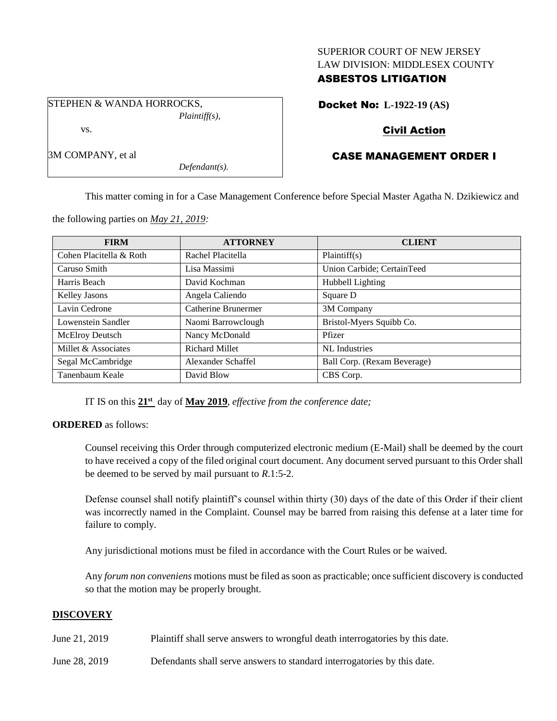#### SUPERIOR COURT OF NEW JERSEY LAW DIVISION: MIDDLESEX COUNTY

### ASBESTOS LITIGATION

STEPHEN & WANDA HORROCKS, *Plaintiff(s),*

vs.

3M COMPANY, et al

Docket No: **L-1922-19 (AS)**

## Civil Action

# CASE MANAGEMENT ORDER I

This matter coming in for a Case Management Conference before Special Master Agatha N. Dzikiewicz and

**FIRM ATTORNEY CLIENT** Cohen Placitella & Roth Rachel Placitella Plaintiff(s) Caruso Smith Lisa Massimi Union Carbide; CertainTeed Harris Beach **David Kochman** Hubbell Lighting Kelley Jasons Angela Caliendo Square D Lavin Cedrone | Catherine Brunermer | 3M Company Lowenstein Sandler Naomi Barrowclough Bristol-Myers Squibb Co. McElroy Deutsch Nancy McDonald Pfizer Millet & Associates **Richard Millet** NL Industries Segal McCambridge Alexander Schaffel Ball Corp. (Rexam Beverage) Tanenbaum Keale David Blow CBS Corp.

*Defendant(s).*

IT IS on this **21st** day of **May 2019**, *effective from the conference date;*

#### **ORDERED** as follows:

Counsel receiving this Order through computerized electronic medium (E-Mail) shall be deemed by the court to have received a copy of the filed original court document. Any document served pursuant to this Order shall be deemed to be served by mail pursuant to *R*.1:5-2.

Defense counsel shall notify plaintiff's counsel within thirty (30) days of the date of this Order if their client was incorrectly named in the Complaint. Counsel may be barred from raising this defense at a later time for failure to comply.

Any jurisdictional motions must be filed in accordance with the Court Rules or be waived.

Any *forum non conveniens* motions must be filed as soon as practicable; once sufficient discovery is conducted so that the motion may be properly brought.

#### **DISCOVERY**

- June 21, 2019 Plaintiff shall serve answers to wrongful death interrogatories by this date.
- June 28, 2019 Defendants shall serve answers to standard interrogatories by this date.

the following parties on *May 21, 2019:*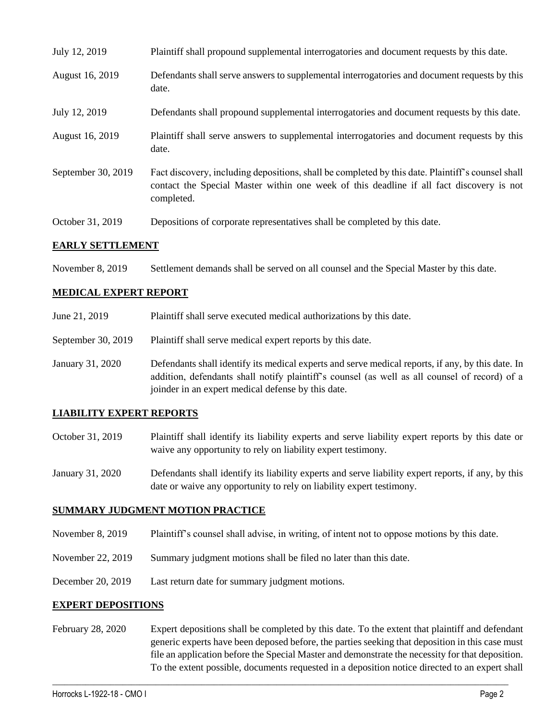| July 12, 2019           | Plaintiff shall propound supplemental interrogatories and document requests by this date.                                                                                                                   |
|-------------------------|-------------------------------------------------------------------------------------------------------------------------------------------------------------------------------------------------------------|
| August 16, 2019         | Defendants shall serve answers to supplemental interrogatories and document requests by this<br>date.                                                                                                       |
| July 12, 2019           | Defendants shall propound supplemental interrogatories and document requests by this date.                                                                                                                  |
| August 16, 2019         | Plaintiff shall serve answers to supplemental interrogatories and document requests by this<br>date.                                                                                                        |
| September 30, 2019      | Fact discovery, including depositions, shall be completed by this date. Plaintiff's counsel shall<br>contact the Special Master within one week of this deadline if all fact discovery is not<br>completed. |
| October 31, 2019        | Depositions of corporate representatives shall be completed by this date.                                                                                                                                   |
| <b>EARLY SETTLEMENT</b> |                                                                                                                                                                                                             |

November 8, 2019 Settlement demands shall be served on all counsel and the Special Master by this date.

#### **MEDICAL EXPERT REPORT**

- June 21, 2019 Plaintiff shall serve executed medical authorizations by this date.
- September 30, 2019 Plaintiff shall serve medical expert reports by this date.
- January 31, 2020 Defendants shall identify its medical experts and serve medical reports, if any, by this date. In addition, defendants shall notify plaintiff's counsel (as well as all counsel of record) of a joinder in an expert medical defense by this date.

#### **LIABILITY EXPERT REPORTS**

- October 31, 2019 Plaintiff shall identify its liability experts and serve liability expert reports by this date or waive any opportunity to rely on liability expert testimony.
- January 31, 2020 Defendants shall identify its liability experts and serve liability expert reports, if any, by this date or waive any opportunity to rely on liability expert testimony.

#### **SUMMARY JUDGMENT MOTION PRACTICE**

- November 8, 2019 Plaintiff's counsel shall advise, in writing, of intent not to oppose motions by this date.
- November 22, 2019 Summary judgment motions shall be filed no later than this date.
- December 20, 2019 Last return date for summary judgment motions.

#### **EXPERT DEPOSITIONS**

February 28, 2020 Expert depositions shall be completed by this date. To the extent that plaintiff and defendant generic experts have been deposed before, the parties seeking that deposition in this case must file an application before the Special Master and demonstrate the necessity for that deposition. To the extent possible, documents requested in a deposition notice directed to an expert shall

 $\_$  , and the set of the set of the set of the set of the set of the set of the set of the set of the set of the set of the set of the set of the set of the set of the set of the set of the set of the set of the set of th